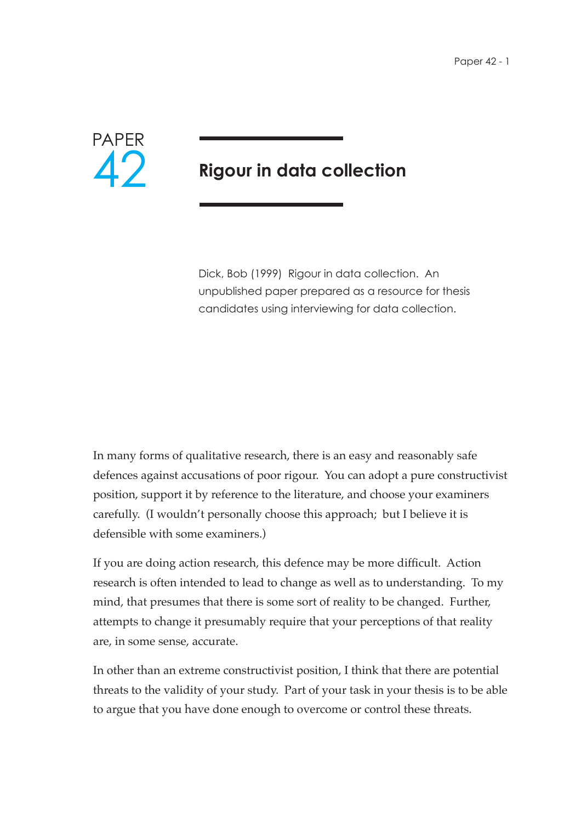

## **Rigour in data collection**

Dick, Bob (1999) Rigour in data collection. An unpublished paper prepared as a resource for thesis candidates using interviewing for data collection.

In many forms of qualitative research, there is an easy and reasonably safe defences against accusations of poor rigour. You can adopt a pure constructivist position, support it by reference to the literature, and choose your examiners carefully. (I wouldn't personally choose this approach; but I believe it is defensible with some examiners.)

If you are doing action research, this defence may be more difficult. Action research is often intended to lead to change as well as to understanding. To my mind, that presumes that there is some sort of reality to be changed. Further, attempts to change it presumably require that your perceptions of that reality are, in some sense, accurate.

In other than an extreme constructivist position, I think that there are potential threats to the validity of your study. Part of your task in your thesis is to be able to argue that you have done enough to overcome or control these threats.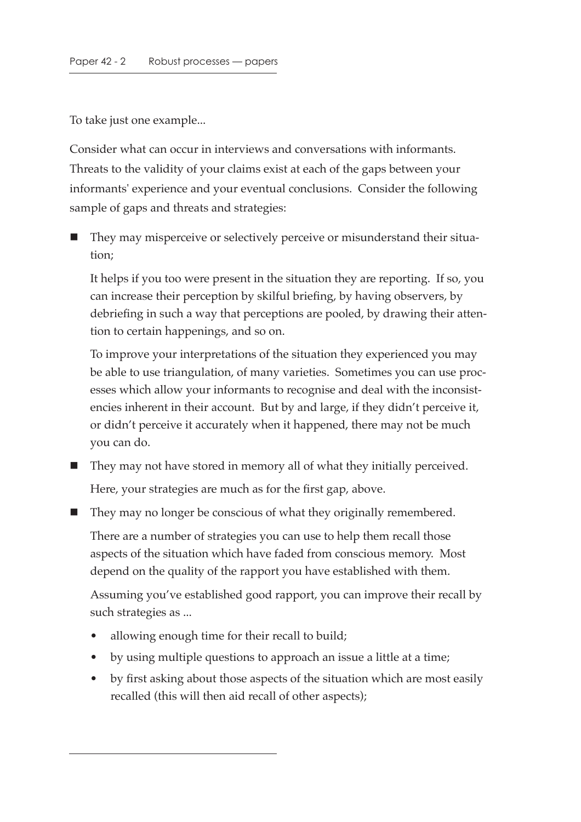To take just one example...

Consider what can occur in interviews and conversations with informants. Threats to the validity of your claims exist at each of the gaps between your informants' experience and your eventual conclusions. Consider the following sample of gaps and threats and strategies:

 They may misperceive or selectively perceive or misunderstand their situation;

It helps if you too were present in the situation they are reporting. If so, you can increase their perception by skilful briefing, by having observers, by debriefing in such a way that perceptions are pooled, by drawing their attention to certain happenings, and so on.

To improve your interpretations of the situation they experienced you may be able to use triangulation, of many varieties. Sometimes you can use processes which allow your informants to recognise and deal with the inconsistencies inherent in their account. But by and large, if they didn't perceive it, or didn't perceive it accurately when it happened, there may not be much you can do.

- They may not have stored in memory all of what they initially perceived. Here, your strategies are much as for the first gap, above.
- They may no longer be conscious of what they originally remembered.

There are a number of strategies you can use to help them recall those aspects of the situation which have faded from conscious memory. Most depend on the quality of the rapport you have established with them.

Assuming you've established good rapport, you can improve their recall by such strategies as ...

- allowing enough time for their recall to build;
- by using multiple questions to approach an issue a little at a time;
- by first asking about those aspects of the situation which are most easily recalled (this will then aid recall of other aspects);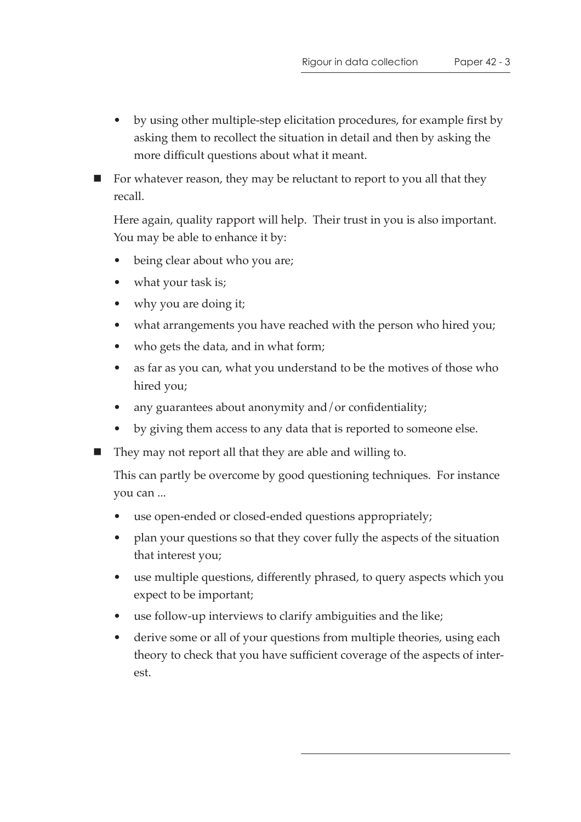- by using other multiple-step elicitation procedures, for example first by asking them to recollect the situation in detail and then by asking the more difficult questions about what it meant.
- $\blacksquare$  For whatever reason, they may be reluctant to report to you all that they recall.

Here again, quality rapport will help. Their trust in you is also important. You may be able to enhance it by:

- being clear about who you are;
- what your task is;
- why you are doing it;
- what arrangements you have reached with the person who hired you;
- who gets the data, and in what form;
- as far as you can, what you understand to be the motives of those who hired you;
- any guarantees about anonymity and/or confidentiality;
- by giving them access to any data that is reported to someone else.
- They may not report all that they are able and willing to.

This can partly be overcome by good questioning techniques. For instance you can ...

- use open-ended or closed-ended questions appropriately;
- plan your questions so that they cover fully the aspects of the situation that interest you;
- use multiple questions, differently phrased, to query aspects which you expect to be important;
- use follow-up interviews to clarify ambiguities and the like;
- derive some or all of your questions from multiple theories, using each theory to check that you have sufficient coverage of the aspects of interest.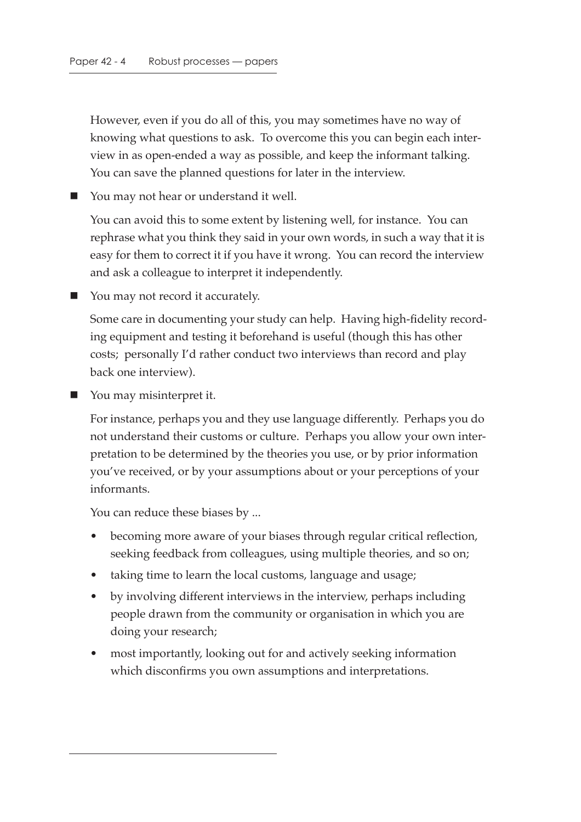However, even if you do all of this, you may sometimes have no way of knowing what questions to ask. To overcome this you can begin each interview in as open-ended a way as possible, and keep the informant talking. You can save the planned questions for later in the interview.

■ You may not hear or understand it well.

You can avoid this to some extent by listening well, for instance. You can rephrase what you think they said in your own words, in such a way that it is easy for them to correct it if you have it wrong. You can record the interview and ask a colleague to interpret it independently.

■ You may not record it accurately.

Some care in documenting your study can help. Having high-fidelity recording equipment and testing it beforehand is useful (though this has other costs; personally I'd rather conduct two interviews than record and play back one interview).

■ You may misinterpret it.

For instance, perhaps you and they use language differently. Perhaps you do not understand their customs or culture. Perhaps you allow your own interpretation to be determined by the theories you use, or by prior information you've received, or by your assumptions about or your perceptions of your informants.

You can reduce these biases by ...

- becoming more aware of your biases through regular critical reflection, seeking feedback from colleagues, using multiple theories, and so on;
- taking time to learn the local customs, language and usage;
- by involving different interviews in the interview, perhaps including people drawn from the community or organisation in which you are doing your research;
- most importantly, looking out for and actively seeking information which disconfirms you own assumptions and interpretations.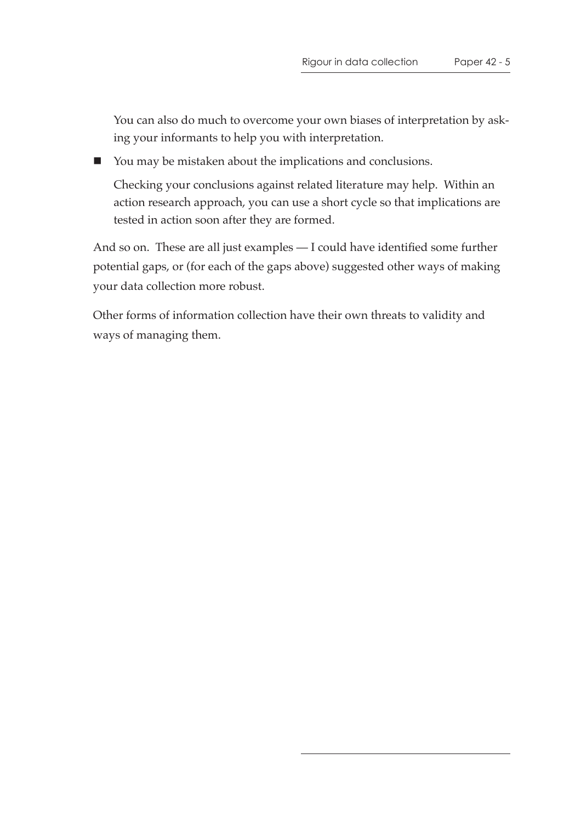You can also do much to overcome your own biases of interpretation by asking your informants to help you with interpretation.

■ You may be mistaken about the implications and conclusions.

Checking your conclusions against related literature may help. Within an action research approach, you can use a short cycle so that implications are tested in action soon after they are formed.

And so on. These are all just examples — I could have identified some further potential gaps, or (for each of the gaps above) suggested other ways of making your data collection more robust.

Other forms of information collection have their own threats to validity and ways of managing them.